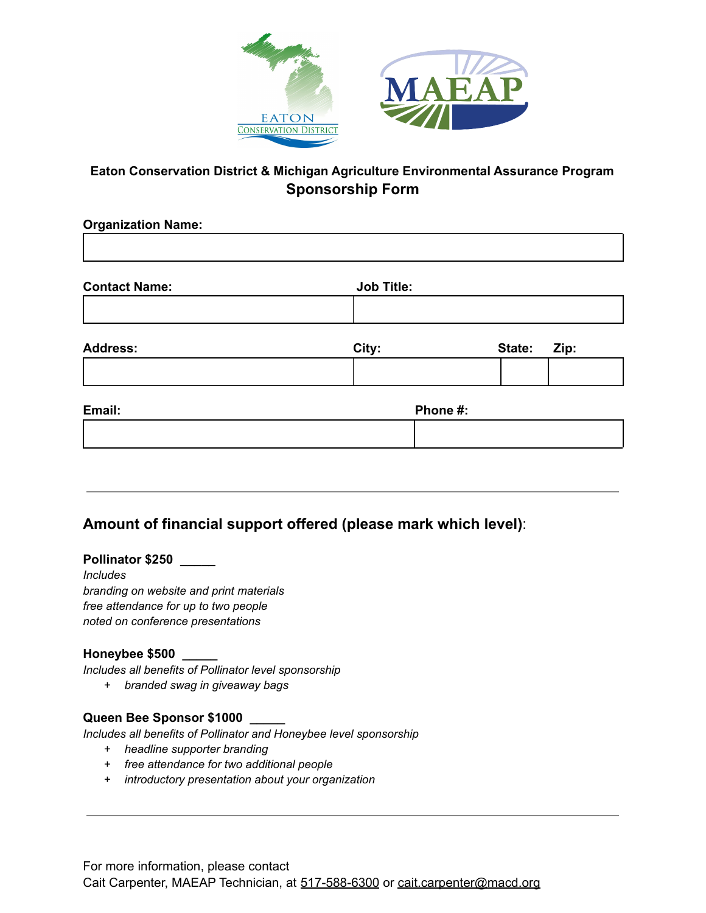

### **Eaton Conservation District & Michigan Agriculture Environmental Assurance Program Sponsorship Form**

| <b>Organization Name:</b> |                   |                |  |
|---------------------------|-------------------|----------------|--|
| <b>Contact Name:</b>      | <b>Job Title:</b> |                |  |
|                           |                   |                |  |
| <b>Address:</b>           | City:             | State:<br>Zip: |  |
|                           |                   |                |  |
| Email:                    | Phone #:          |                |  |
|                           |                   |                |  |
|                           |                   |                |  |

# **Amount of financial support offered (please mark which level)**:

**Pollinator \$250 \_\_\_\_\_**

*Includes branding on website and print materials free attendance for up to two people noted on conference presentations*

#### **Honeybee \$500 \_\_\_\_\_**

*Includes all benefits of Pollinator level sponsorship*

*+ branded swag in giveaway bags*

#### **Queen Bee Sponsor \$1000 \_\_\_\_\_**

*Includes all benefits of Pollinator and Honeybee level sponsorship*

- *+ headline supporter branding*
- *+ free attendance for two additional people*
- *+ introductory presentation about your organization*